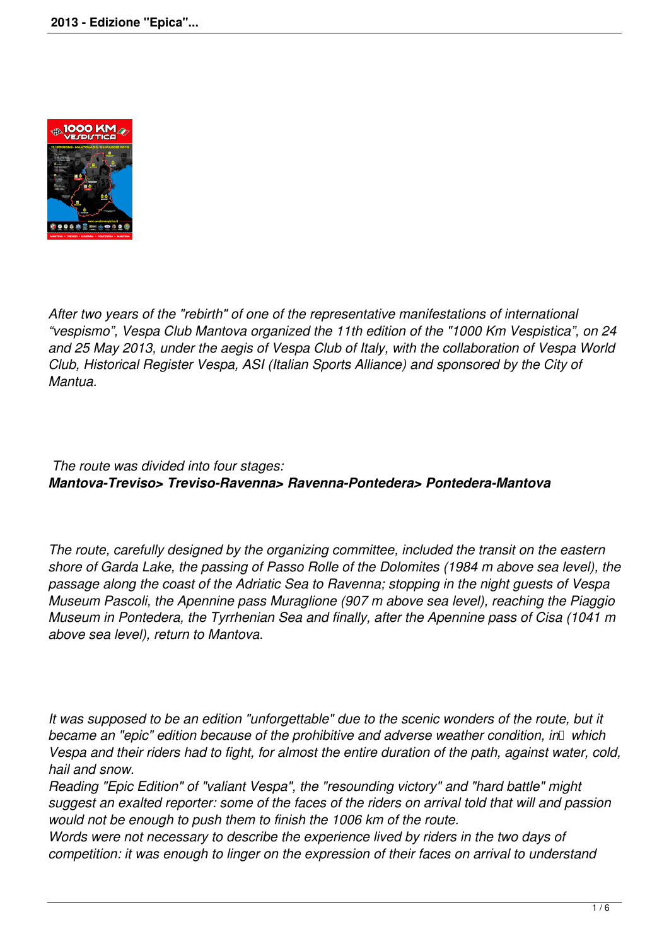

*After two years of the "rebirth" of one of the representative manifestations of international "vespismo", Vespa Club Mantova organized the 11th edition of the "1000 Km Vespistica", on 24 and 25 May 2013, under the aegis of Vespa Club of Italy, with the collaboration of Vespa World Club, Historical Register Vespa, ASI (Italian Sports Alliance) and sponsored by the City of Mantua.*

# *The route was divided into four stages: Mantova-Treviso> Treviso-Ravenna> Ravenna-Pontedera> Pontedera-Mantova*

*The route, carefully designed by the organizing committee, included the transit on the eastern shore of Garda Lake, the passing of Passo Rolle of the Dolomites (1984 m above sea level), the passage along the coast of the Adriatic Sea to Ravenna; stopping in the night guests of Vespa Museum Pascoli, the Apennine pass Muraglione (907 m above sea level), reaching the Piaggio Museum in Pontedera, the Tyrrhenian Sea and finally, after the Apennine pass of Cisa (1041 m above sea level), return to Mantova.*

*It was supposed to be an edition "unforgettable" due to the scenic wonders of the route, but it became an "epic" edition because of the prohibitive and adverse weather condition, in* which *Vespa and their riders had to fight, for almost the entire duration of the path, against water, cold, hail and snow.*

*Reading "Epic Edition" of "valiant Vespa", the "resounding victory" and "hard battle" might suggest an exalted reporter: some of the faces of the riders on arrival told that will and passion would not be enough to push them to finish the 1006 km of the route.*

*Words were not necessary to describe the experience lived by riders in the two days of competition: it was enough to linger on the expression of their faces on arrival to understand*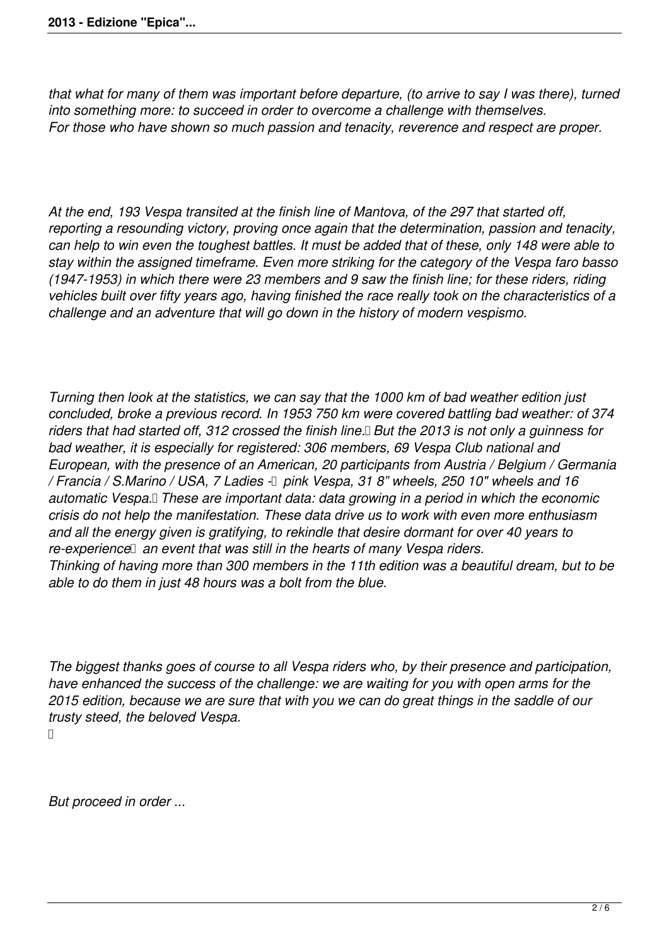*that what for many of them was important before departure, (to arrive to say I was there), turned into something more: to succeed in order to overcome a challenge with themselves. For those who have shown so much passion and tenacity, reverence and respect are proper.*

*At the end, 193 Vespa transited at the finish line of Mantova, of the 297 that started off, reporting a resounding victory, proving once again that the determination, passion and tenacity, can help to win even the toughest battles. It must be added that of these, only 148 were able to stay within the assigned timeframe. Even more striking for the category of the Vespa faro basso (1947-1953) in which there were 23 members and 9 saw the finish line; for these riders, riding vehicles built over fifty years ago, having finished the race really took on the characteristics of a challenge and an adventure that will go down in the history of modern vespismo.*

*Turning then look at the statistics, we can say that the 1000 km of bad weather edition just concluded, broke a previous record. In 1953 750 km were covered battling bad weather: of 374 riders that had started off, 312 crossed the finish line.
But the 2013 is not only a guinness for bad weather, it is especially for registered: 306 members, 69 Vespa Club national and European, with the presence of an American, 20 participants from Austria / Belgium / Germania* / Francia / S.Marino / USA, 7 Ladies  $\Box$  pink Vespa, 31 8" wheels, 250 10" wheels and 16 *automatic Vespa.
These are important data: data growing in a period in which the economic crisis do not help the manifestation. These data drive us to work with even more enthusiasm and all the energy given is gratifying, to rekindle that desire dormant for over 40 years to* re-experience an event that was still in the hearts of many Vespa riders. *Thinking of having more than 300 members in the 11th edition was a beautiful dream, but to be able to do them in just 48 hours was a bolt from the blue.*

*The biggest thanks goes of course to all Vespa riders who, by their presence and participation, have enhanced the success of the challenge: we are waiting for you with open arms for the 2015 edition, because we are sure that with you we can do great things in the saddle of our trusty steed, the beloved Vespa.*

 $\Box$ 

*But proceed in order ...*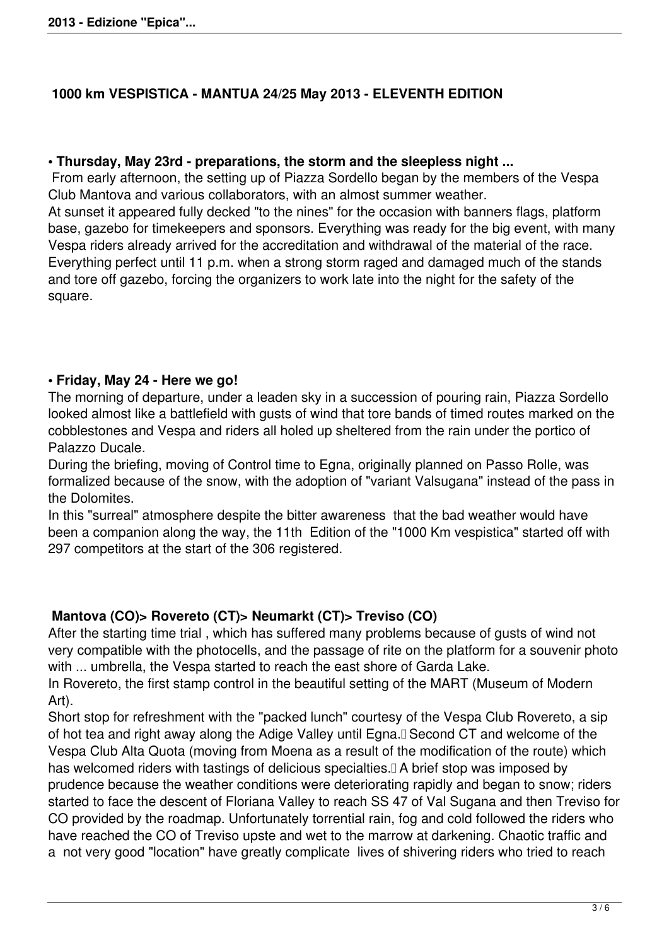# **1000 km VESPISTICA - MANTUA 24/25 May 2013 - ELEVENTH EDITION**

#### **• Thursday, May 23rd - preparations, the storm and the sleepless night ...**

 From early afternoon, the setting up of Piazza Sordello began by the members of the Vespa Club Mantova and various collaborators, with an almost summer weather.

At sunset it appeared fully decked "to the nines" for the occasion with banners flags, platform base, gazebo for timekeepers and sponsors. Everything was ready for the big event, with many Vespa riders already arrived for the accreditation and withdrawal of the material of the race. Everything perfect until 11 p.m. when a strong storm raged and damaged much of the stands and tore off gazebo, forcing the organizers to work late into the night for the safety of the square.

### **• Friday, May 24 - Here we go!**

The morning of departure, under a leaden sky in a succession of pouring rain, Piazza Sordello looked almost like a battlefield with gusts of wind that tore bands of timed routes marked on the cobblestones and Vespa and riders all holed up sheltered from the rain under the portico of Palazzo Ducale.

During the briefing, moving of Control time to Egna, originally planned on Passo Rolle, was formalized because of the snow, with the adoption of "variant Valsugana" instead of the pass in the Dolomites.

In this "surreal" atmosphere despite the bitter awareness that the bad weather would have been a companion along the way, the 11th Edition of the "1000 Km vespistica" started off with 297 competitors at the start of the 306 registered.

### **Mantova (CO)> Rovereto (CT)> Neumarkt (CT)> Treviso (CO)**

After the starting time trial , which has suffered many problems because of gusts of wind not very compatible with the photocells, and the passage of rite on the platform for a souvenir photo with ... umbrella, the Vespa started to reach the east shore of Garda Lake. In Rovereto, the first stamp control in the beautiful setting of the MART (Museum of Modern Art).

Short stop for refreshment with the "packed lunch" courtesy of the Vespa Club Rovereto, a sip of hot tea and right away along the Adige Valley until Egna.
Second CT and welcome of the Vespa Club Alta Quota (moving from Moena as a result of the modification of the route) which has welcomed riders with tastings of delicious specialties.<sup>[]</sup> A brief stop was imposed by prudence because the weather conditions were deteriorating rapidly and began to snow; riders started to face the descent of Floriana Valley to reach SS 47 of Val Sugana and then Treviso for CO provided by the roadmap. Unfortunately torrential rain, fog and cold followed the riders who have reached the CO of Treviso upste and wet to the marrow at darkening. Chaotic traffic and a not very good "location" have greatly complicate lives of shivering riders who tried to reach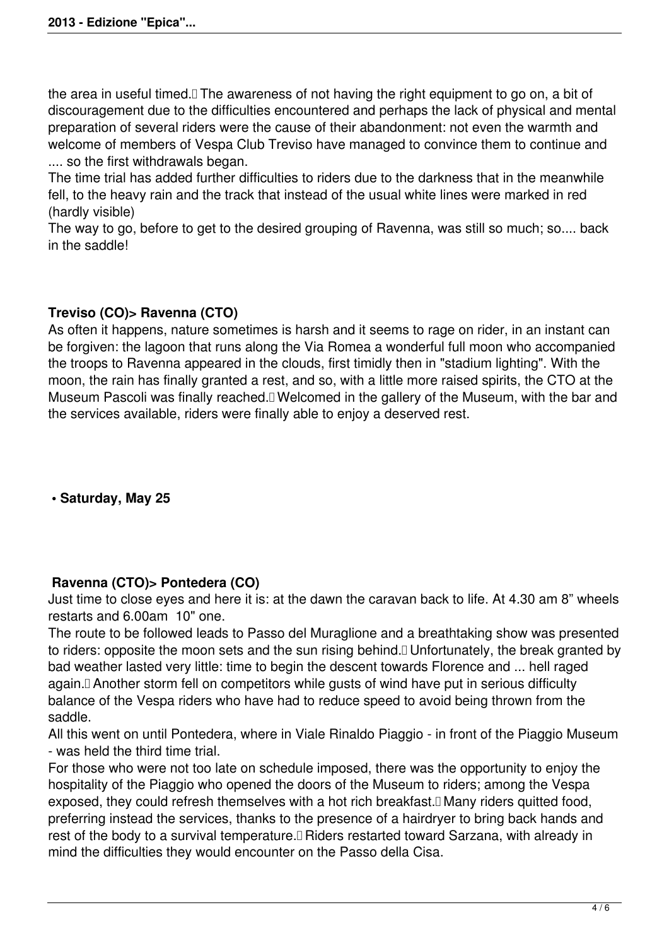the area in useful timed.
The awareness of not having the right equipment to go on, a bit of discouragement due to the difficulties encountered and perhaps the lack of physical and mental preparation of several riders were the cause of their abandonment: not even the warmth and welcome of members of Vespa Club Treviso have managed to convince them to continue and .... so the first withdrawals began.

The time trial has added further difficulties to riders due to the darkness that in the meanwhile fell, to the heavy rain and the track that instead of the usual white lines were marked in red (hardly visible)

The way to go, before to get to the desired grouping of Ravenna, was still so much; so.... back in the saddle!

# **Treviso (CO)> Ravenna (CTO)**

As often it happens, nature sometimes is harsh and it seems to rage on rider, in an instant can be forgiven: the lagoon that runs along the Via Romea a wonderful full moon who accompanied the troops to Ravenna appeared in the clouds, first timidly then in "stadium lighting". With the moon, the rain has finally granted a rest, and so, with a little more raised spirits, the CTO at the Museum Pascoli was finally reached.
Welcomed in the gallery of the Museum, with the bar and the services available, riders were finally able to enjoy a deserved rest.

 **• Saturday, May 25**

# **Ravenna (CTO)> Pontedera (CO)**

Just time to close eyes and here it is: at the dawn the caravan back to life. At 4.30 am 8" wheels restarts and 6.00am 10" one.

The route to be followed leads to Passo del Muraglione and a breathtaking show was presented to riders: opposite the moon sets and the sun rising behind.
Unfortunately, the break granted by bad weather lasted very little: time to begin the descent towards Florence and ... hell raged again.
Another storm fell on competitors while gusts of wind have put in serious difficulty balance of the Vespa riders who have had to reduce speed to avoid being thrown from the saddle.

All this went on until Pontedera, where in Viale Rinaldo Piaggio - in front of the Piaggio Museum - was held the third time trial.

For those who were not too late on schedule imposed, there was the opportunity to enjoy the hospitality of the Piaggio who opened the doors of the Museum to riders; among the Vespa exposed, they could refresh themselves with a hot rich breakfast.<sup>[]</sup> Many riders quitted food, preferring instead the services, thanks to the presence of a hairdryer to bring back hands and rest of the body to a survival temperature.<sup>[]</sup> Riders restarted toward Sarzana, with already in mind the difficulties they would encounter on the Passo della Cisa.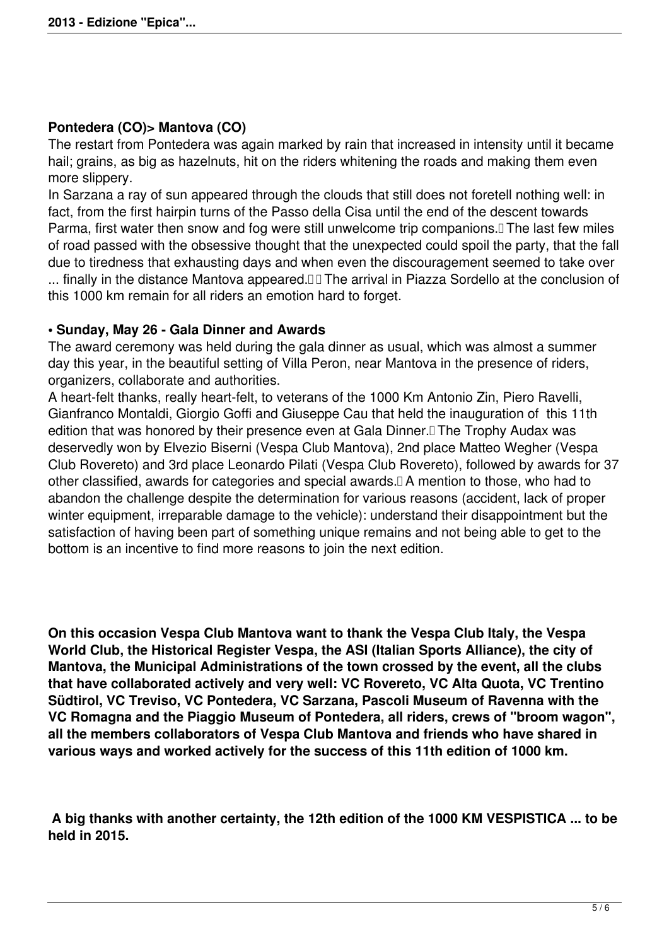### **Pontedera (CO)> Mantova (CO)**

The restart from Pontedera was again marked by rain that increased in intensity until it became hail; grains, as big as hazelnuts, hit on the riders whitening the roads and making them even more slippery.

In Sarzana a ray of sun appeared through the clouds that still does not foretell nothing well: in fact, from the first hairpin turns of the Passo della Cisa until the end of the descent towards Parma, first water then snow and fog were still unwelcome trip companions. I The last few miles of road passed with the obsessive thought that the unexpected could spoil the party, that the fall due to tiredness that exhausting days and when even the discouragement seemed to take over ... finally in the distance Mantova appeared.

The arrival in Piazza Sordello at the conclusion of this 1000 km remain for all riders an emotion hard to forget.

### **• Sunday, May 26 - Gala Dinner and Awards**

The award ceremony was held during the gala dinner as usual, which was almost a summer day this year, in the beautiful setting of Villa Peron, near Mantova in the presence of riders, organizers, collaborate and authorities.

A heart-felt thanks, really heart-felt, to veterans of the 1000 Km Antonio Zin, Piero Ravelli, Gianfranco Montaldi, Giorgio Goffi and Giuseppe Cau that held the inauguration of this 11th edition that was honored by their presence even at Gala Dinner.<sup>[]</sup> The Trophy Audax was deservedly won by Elvezio Biserni (Vespa Club Mantova), 2nd place Matteo Wegher (Vespa Club Rovereto) and 3rd place Leonardo Pilati (Vespa Club Rovereto), followed by awards for 37 other classified, awards for categories and special awards.
A mention to those, who had to abandon the challenge despite the determination for various reasons (accident, lack of proper winter equipment, irreparable damage to the vehicle): understand their disappointment but the satisfaction of having been part of something unique remains and not being able to get to the bottom is an incentive to find more reasons to join the next edition.

**On this occasion Vespa Club Mantova want to thank the Vespa Club Italy, the Vespa World Club, the Historical Register Vespa, the ASI (Italian Sports Alliance), the city of Mantova, the Municipal Administrations of the town crossed by the event, all the clubs that have collaborated actively and very well: VC Rovereto, VC Alta Quota, VC Trentino Südtirol, VC Treviso, VC Pontedera, VC Sarzana, Pascoli Museum of Ravenna with the VC Romagna and the Piaggio Museum of Pontedera, all riders, crews of "broom wagon", all the members collaborators of Vespa Club Mantova and friends who have shared in various ways and worked actively for the success of this 11th edition of 1000 km.**

 **A big thanks with another certainty, the 12th edition of the 1000 KM VESPISTICA ... to be held in 2015.**